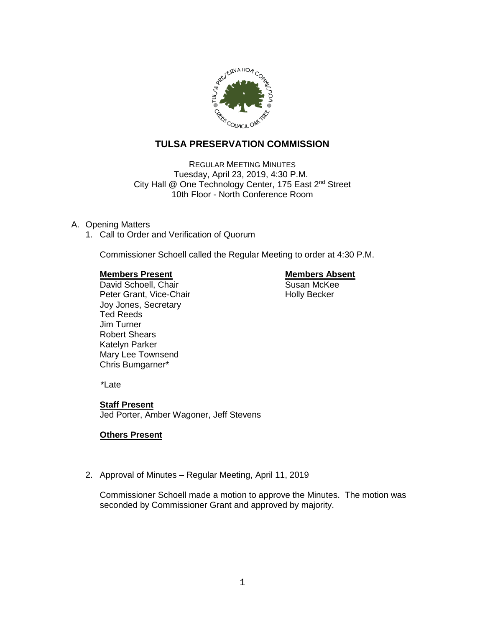

# **TULSA PRESERVATION COMMISSION**

REGULAR MEETING MINUTES Tuesday, April 23, 2019, 4:30 P.M. City Hall @ One Technology Center, 175 East 2<sup>nd</sup> Street 10th Floor - North Conference Room

## A. Opening Matters

1. Call to Order and Verification of Quorum

Commissioner Schoell called the Regular Meeting to order at 4:30 P.M.

**Members Present Construction Construction Construction Members Absent Construction Construction Construction Construction Construction Construction Construction Construction Construction Construction Construction Construc** David Schoell, Chair Peter Grant, Vice-Chair Noter Holly Becker Joy Jones, Secretary Ted Reeds Jim Turner Robert Shears Katelyn Parker Mary Lee Townsend Chris Bumgarner\*

\*Late

### **Staff Present**

Jed Porter, Amber Wagoner, Jeff Stevens

## **Others Present**

2. Approval of Minutes – Regular Meeting, April 11, 2019

Commissioner Schoell made a motion to approve the Minutes. The motion was seconded by Commissioner Grant and approved by majority.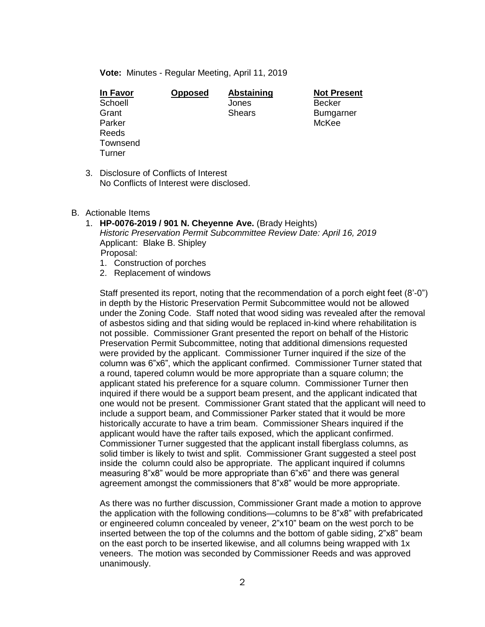**Vote:** Minutes - Regular Meeting, April 11, 2019

| <b>In Favor</b> | <b>Opposed</b> | <b>Abstaining</b> | Not Pr        |
|-----------------|----------------|-------------------|---------------|
| Schoell         |                | Jones             | <b>Becker</b> |
| Grant           |                | <b>Shears</b>     | <b>Bumga</b>  |
| Parker          |                |                   | McKee         |
| Reeds           |                |                   |               |
| Townsend        |                |                   |               |
| Turner          |                |                   |               |

**Ing Not Present** Bumgarner

- 3. Disclosure of Conflicts of Interest No Conflicts of Interest were disclosed.
- B. Actionable Items
	- 1. **HP-0076-2019 / 901 N. Cheyenne Ave.** (Brady Heights) *Historic Preservation Permit Subcommittee Review Date: April 16, 2019* Applicant: Blake B. Shipley Proposal:
		- 1. Construction of porches
		- 2. Replacement of windows

Staff presented its report, noting that the recommendation of a porch eight feet (8'-0") in depth by the Historic Preservation Permit Subcommittee would not be allowed under the Zoning Code. Staff noted that wood siding was revealed after the removal of asbestos siding and that siding would be replaced in-kind where rehabilitation is not possible. Commissioner Grant presented the report on behalf of the Historic Preservation Permit Subcommittee, noting that additional dimensions requested were provided by the applicant. Commissioner Turner inquired if the size of the column was 6"x6", which the applicant confirmed. Commissioner Turner stated that a round, tapered column would be more appropriate than a square column; the applicant stated his preference for a square column. Commissioner Turner then inquired if there would be a support beam present, and the applicant indicated that one would not be present. Commissioner Grant stated that the applicant will need to include a support beam, and Commissioner Parker stated that it would be more historically accurate to have a trim beam. Commissioner Shears inquired if the applicant would have the rafter tails exposed, which the applicant confirmed. Commissioner Turner suggested that the applicant install fiberglass columns, as solid timber is likely to twist and split. Commissioner Grant suggested a steel post inside the column could also be appropriate. The applicant inquired if columns measuring 8"x8" would be more appropriate than 6"x6" and there was general agreement amongst the commissioners that 8"x8" would be more appropriate.

As there was no further discussion, Commissioner Grant made a motion to approve the application with the following conditions—columns to be 8"x8" with prefabricated or engineered column concealed by veneer, 2"x10" beam on the west porch to be inserted between the top of the columns and the bottom of gable siding, 2"x8" beam on the east porch to be inserted likewise, and all columns being wrapped with 1x veneers. The motion was seconded by Commissioner Reeds and was approved unanimously.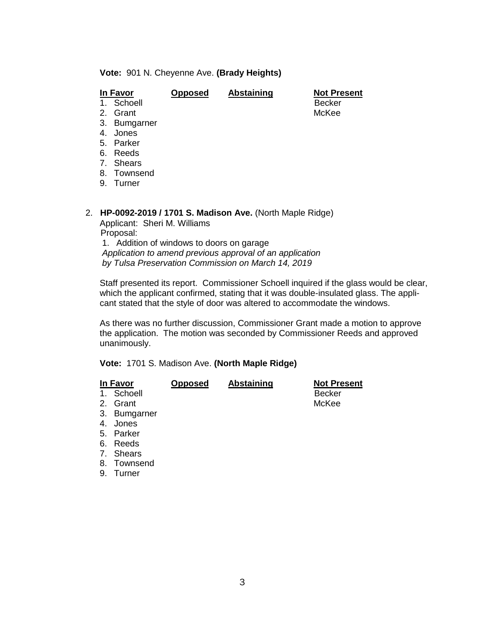#### **Vote:** 901 N. Cheyenne Ave. **(Brady Heights)**

| In Favor   | <b>Opposed</b> | <b>Abstaining</b> | <b>Not Present</b> |
|------------|----------------|-------------------|--------------------|
| 1. Schoell |                |                   | Becker             |
| 2. Grant   |                |                   | McKee              |

- 3. Bumgarner
- 4. Jones
- 5. Parker
- 6. Reeds
- 7. Shears
- 8. Townsend
- 9. Turner

#### 2. **HP-0092-2019 / 1701 S. Madison Ave.** (North Maple Ridge)

Applicant: Sheri M. Williams Proposal: 1. Addition of windows to doors on garage

*Application to amend previous approval of an application by Tulsa Preservation Commission on March 14, 2019*

Staff presented its report. Commissioner Schoell inquired if the glass would be clear, which the applicant confirmed, stating that it was double-insulated glass. The applicant stated that the style of door was altered to accommodate the windows.

As there was no further discussion, Commissioner Grant made a motion to approve the application. The motion was seconded by Commissioner Reeds and approved unanimously.

### **Vote:** 1701 S. Madison Ave. **(North Maple Ridge)**

|   | In Favor     | <b>Opposed</b> | Abstaining | <b>Not Present</b> |
|---|--------------|----------------|------------|--------------------|
|   | 1. Schoell   |                |            | Becker             |
|   | 2. Grant     |                |            | McKee              |
|   | 3. Bumgarner |                |            |                    |
| Δ | . Innes      |                |            |                    |

- 4. Jones
- 5. Parker
- 6. Reeds
- 7. Shears
- 8. Townsend
- 9. Turner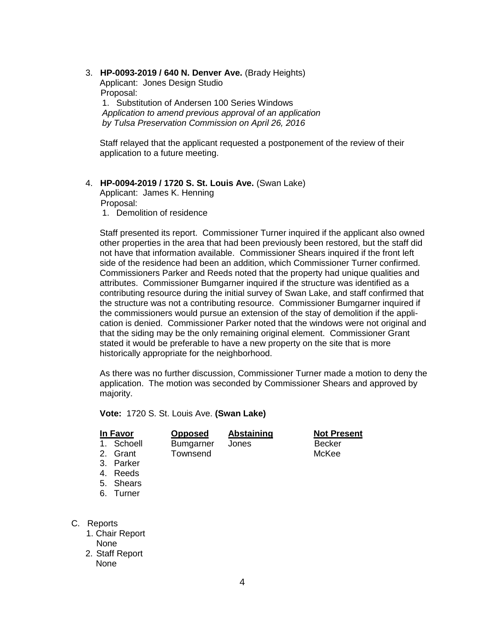# 3. **HP-0093-2019 / 640 N. Denver Ave.** (Brady Heights)

Applicant: Jones Design Studio Proposal:

1. Substitution of Andersen 100 Series Windows *Application to amend previous approval of an application by Tulsa Preservation Commission on April 26, 2016*

Staff relayed that the applicant requested a postponement of the review of their application to a future meeting.

## 4. **HP-0094-2019 / 1720 S. St. Louis Ave.** (Swan Lake)

Applicant: James K. Henning Proposal:

1. Demolition of residence

Staff presented its report. Commissioner Turner inquired if the applicant also owned other properties in the area that had been previously been restored, but the staff did not have that information available. Commissioner Shears inquired if the front left side of the residence had been an addition, which Commissioner Turner confirmed. Commissioners Parker and Reeds noted that the property had unique qualities and attributes. Commissioner Bumgarner inquired if the structure was identified as a contributing resource during the initial survey of Swan Lake, and staff confirmed that the structure was not a contributing resource. Commissioner Bumgarner inquired if the commissioners would pursue an extension of the stay of demolition if the application is denied. Commissioner Parker noted that the windows were not original and that the siding may be the only remaining original element. Commissioner Grant stated it would be preferable to have a new property on the site that is more historically appropriate for the neighborhood.

As there was no further discussion, Commissioner Turner made a motion to deny the application. The motion was seconded by Commissioner Shears and approved by majority.

**Vote:** 1720 S. St. Louis Ave. **(Swan Lake)**

|        | <b>Opposed</b>                                                     | <b>Abstaining</b> | <b>Not Present</b> |
|--------|--------------------------------------------------------------------|-------------------|--------------------|
|        | <b>Bumgarner</b>                                                   | Jones             | <b>Becker</b>      |
|        | Townsend                                                           |                   | McKee              |
|        |                                                                    |                   |                    |
|        |                                                                    |                   |                    |
|        |                                                                    |                   |                    |
| Turner |                                                                    |                   |                    |
|        |                                                                    |                   |                    |
|        | In Favor<br>Schoell<br>2. Grant<br>3. Parker<br>Reeds<br>5. Shears |                   |                    |

- C. Reports
	- 1. Chair Report None
	- 2. Staff Report None